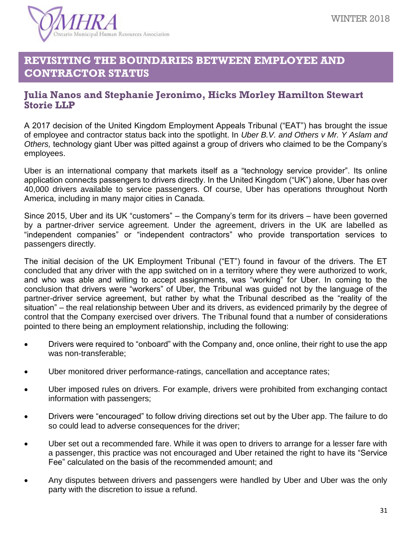

## **REVISITING THE BOUNDARIES BETWEEN EMPLOYEE AND CONTRACTOR STATUS**

## **Julia Nanos and Stephanie Jeronimo, Hicks Morley Hamilton Stewart Storie LLP**

A 2017 decision of the United Kingdom Employment Appeals Tribunal ("EAT") has brought the issue of employee and contractor status back into the spotlight. In *Uber B.V. and Others v Mr. Y Aslam and Others,* technology giant Uber was pitted against a group of drivers who claimed to be the Company's employees.

Uber is an international company that markets itself as a "technology service provider". Its online application connects passengers to drivers directly. In the United Kingdom ("UK") alone, Uber has over 40,000 drivers available to service passengers. Of course, Uber has operations throughout North America, including in many major cities in Canada.

Since 2015, Uber and its UK "customers" – the Company's term for its drivers – have been governed by a partner-driver service agreement. Under the agreement, drivers in the UK are labelled as "independent companies" or "independent contractors" who provide transportation services to passengers directly.

The initial decision of the UK Employment Tribunal ("ET") found in favour of the drivers. The ET concluded that any driver with the app switched on in a territory where they were authorized to work, and who was able and willing to accept assignments, was "working" for Uber. In coming to the conclusion that drivers were "workers" of Uber, the Tribunal was guided not by the language of the partner-driver service agreement, but rather by what the Tribunal described as the "reality of the situation" – the real relationship between Uber and its drivers, as evidenced primarily by the degree of control that the Company exercised over drivers. The Tribunal found that a number of considerations pointed to there being an employment relationship, including the following:

- Drivers were required to "onboard" with the Company and, once online, their right to use the app was non-transferable;
- Uber monitored driver performance-ratings, cancellation and acceptance rates;
- Uber imposed rules on drivers. For example, drivers were prohibited from exchanging contact information with passengers;
- Drivers were "encouraged" to follow driving directions set out by the Uber app. The failure to do so could lead to adverse consequences for the driver;
- Uber set out a recommended fare. While it was open to drivers to arrange for a lesser fare with a passenger, this practice was not encouraged and Uber retained the right to have its "Service Fee" calculated on the basis of the recommended amount; and
- Any disputes between drivers and passengers were handled by Uber and Uber was the only party with the discretion to issue a refund.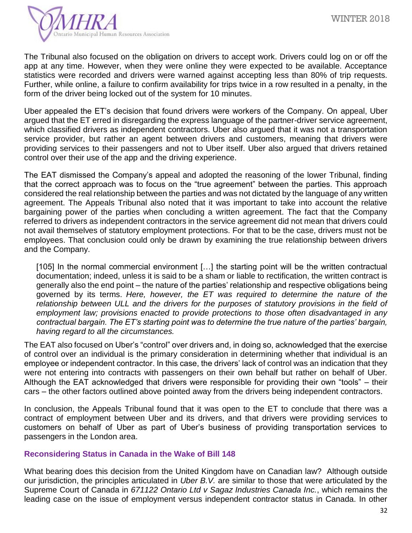

The Tribunal also focused on the obligation on drivers to accept work. Drivers could log on or off the app at any time. However, when they were online they were expected to be available. Acceptance statistics were recorded and drivers were warned against accepting less than 80% of trip requests. Further, while online, a failure to confirm availability for trips twice in a row resulted in a penalty, in the form of the driver being locked out of the system for 10 minutes.

Uber appealed the ET's decision that found drivers were workers of the Company. On appeal, Uber argued that the ET erred in disregarding the express language of the partner-driver service agreement, which classified drivers as independent contractors. Uber also argued that it was not a transportation service provider, but rather an agent between drivers and customers, meaning that drivers were providing services to their passengers and not to Uber itself. Uber also argued that drivers retained control over their use of the app and the driving experience.

The EAT dismissed the Company's appeal and adopted the reasoning of the lower Tribunal, finding that the correct approach was to focus on the "true agreement" between the parties. This approach considered the real relationship between the parties and was not dictated by the language of any written agreement. The Appeals Tribunal also noted that it was important to take into account the relative bargaining power of the parties when concluding a written agreement. The fact that the Company referred to drivers as independent contractors in the service agreement did not mean that drivers could not avail themselves of statutory employment protections. For that to be the case, drivers must not be employees. That conclusion could only be drawn by examining the true relationship between drivers and the Company.

[105] In the normal commercial environment [...] the starting point will be the written contractual documentation; indeed, unless it is said to be a sham or liable to rectification, the written contract is generally also the end point – the nature of the parties' relationship and respective obligations being governed by its terms. *Here, however, the ET was required to determine the nature of the*  relationship between ULL and the drivers for the purposes of statutory provisions in the field of *employment law; provisions enacted to provide protections to those often disadvantaged in any contractual bargain. The ET's starting point was to determine the true nature of the parties' bargain, having regard to all the circumstances.*

The EAT also focused on Uber's "control" over drivers and, in doing so, acknowledged that the exercise of control over an individual is the primary consideration in determining whether that individual is an employee or independent contractor. In this case, the drivers' lack of control was an indication that they were not entering into contracts with passengers on their own behalf but rather on behalf of Uber. Although the EAT acknowledged that drivers were responsible for providing their own "tools" – their cars – the other factors outlined above pointed away from the drivers being independent contractors.

In conclusion, the Appeals Tribunal found that it was open to the ET to conclude that there was a contract of employment between Uber and its drivers, and that drivers were providing services to customers on behalf of Uber as part of Uber's business of providing transportation services to passengers in the London area.

## **Reconsidering Status in Canada in the Wake of Bill 148**

What bearing does this decision from the United Kingdom have on Canadian law? Although outside our jurisdiction, the principles articulated in *Uber B.V.* are similar to those that were articulated by the Supreme Court of Canada in *671122 Ontario Ltd v Sagaz Industries Canada Inc.*, which remains the leading case on the issue of employment versus independent contractor status in Canada. In other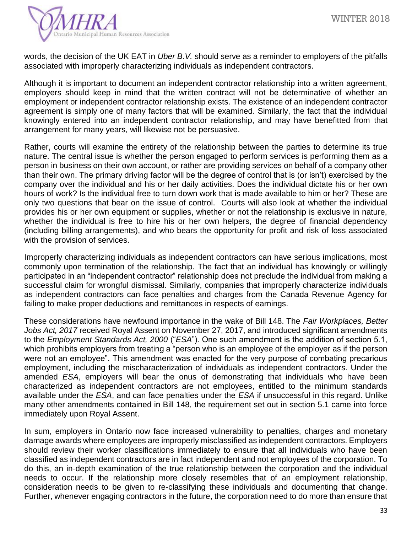

words, the decision of the UK EAT in *Uber B.V.* should serve as a reminder to employers of the pitfalls associated with improperly characterizing individuals as independent contractors.

Although it is important to document an independent contractor relationship into a written agreement, employers should keep in mind that the written contract will not be determinative of whether an employment or independent contractor relationship exists. The existence of an independent contractor agreement is simply one of many factors that will be examined. Similarly, the fact that the individual knowingly entered into an independent contractor relationship, and may have benefitted from that arrangement for many years, will likewise not be persuasive.

Rather, courts will examine the entirety of the relationship between the parties to determine its true nature. The central issue is whether the person engaged to perform services is performing them as a person in business on their own account, or rather are providing services on behalf of a company other than their own. The primary driving factor will be the degree of control that is (or isn't) exercised by the company over the individual and his or her daily activities. Does the individual dictate his or her own hours of work? Is the individual free to turn down work that is made available to him or her? These are only two questions that bear on the issue of control. Courts will also look at whether the individual provides his or her own equipment or supplies, whether or not the relationship is exclusive in nature, whether the individual is free to hire his or her own helpers, the degree of financial dependency (including billing arrangements), and who bears the opportunity for profit and risk of loss associated with the provision of services.

Improperly characterizing individuals as independent contractors can have serious implications, most commonly upon termination of the relationship. The fact that an individual has knowingly or willingly participated in an "independent contractor" relationship does not preclude the individual from making a successful claim for wrongful dismissal. Similarly, companies that improperly characterize individuals as independent contractors can face penalties and charges from the Canada Revenue Agency for failing to make proper deductions and remittances in respects of earnings.

These considerations have newfound importance in the wake of Bill 148. The *Fair Workplaces, Better Jobs Act, 2017* received Royal Assent on November 27, 2017, and introduced significant amendments to the *Employment Standards Act, 2000* ("*ESA*"). One such amendment is the addition of section 5.1, which prohibits employers from treating a "person who is an employee of the employer as if the person were not an employee". This amendment was enacted for the very purpose of combating precarious employment, including the mischaracterization of individuals as independent contractors. Under the amended *ESA*, employers will bear the onus of demonstrating that individuals who have been characterized as independent contractors are not employees, entitled to the minimum standards available under the *ESA*, and can face penalties under the *ESA* if unsuccessful in this regard. Unlike many other amendments contained in Bill 148, the requirement set out in section 5.1 came into force immediately upon Royal Assent.

In sum, employers in Ontario now face increased vulnerability to penalties, charges and monetary damage awards where employees are improperly misclassified as independent contractors. Employers should review their worker classifications immediately to ensure that all individuals who have been classified as independent contractors are in fact independent and not employees of the corporation. To do this, an in-depth examination of the true relationship between the corporation and the individual needs to occur. If the relationship more closely resembles that of an employment relationship, consideration needs to be given to re-classifying these individuals and documenting that change. Further, whenever engaging contractors in the future, the corporation need to do more than ensure that